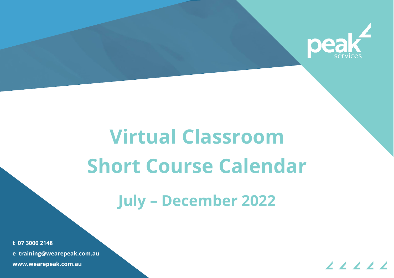

# **Virtual Classroom Short Course Calendar**

## **July – December 2022**

t 07 3000 2148 e training@wearepeak.com.au www.wearepeak.com.au

**t 07 3000 2148**

**e training@wearepeak.com.au**

**www.wearepeak.com.au**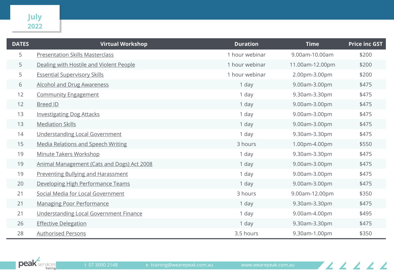| <b>DATES</b> | <b>Virtual Workshop</b>                    | <b>Duration</b> | <b>Time</b>     | <b>Price inc GST</b> |
|--------------|--------------------------------------------|-----------------|-----------------|----------------------|
| 5            | <b>Presentation Skills Masterclass</b>     | 1 hour webinar  | 9.00am-10.00am  | \$200                |
| 5            | Dealing with Hostile and Violent People    | 1 hour webinar  | 11.00am-12.00pm | \$200                |
| 5            | <b>Essential Supervisory Skills</b>        | 1 hour webinar  | 2.00pm-3.00pm   | \$200                |
| 6            | <b>Alcohol and Drug Awareness</b>          | 1 day           | 9.00am-3.00pm   | \$475                |
| 12           | <b>Community Engagement</b>                | 1 day           | 9.30am-3.30pm   | \$475                |
| 12           | <b>Breed ID</b>                            | 1 day           | 9.00am-3.00pm   | \$475                |
| 13           | <b>Investigating Dog Attacks</b>           | 1 day           | 9.00am-3.00pm   | \$475                |
| 13           | <b>Mediation Skills</b>                    | 1 day           | 9.00am-3.00pm   | \$475                |
| 14           | <b>Understanding Local Government</b>      | 1 day           | 9.30am-3.30pm   | \$475                |
| 15           | <b>Media Relations and Speech Writing</b>  | 3 hours         | 1.00pm-4.00pm   | \$550                |
| 19           | Minute Takers Workshop                     | 1 day           | 9.30am-3.30pm   | \$475                |
| 19           | Animal Management (Cats and Dogs) Act 2008 | 1 day           | 9.00am-3.00pm   | \$475                |
| 19           | <b>Preventing Bullying and Harassment</b>  | 1 day           | 9.00am-3.00pm   | \$475                |
| 20           | Developing High Performance Teams          | 1 day           | 9.00am-3.00pm   | \$475                |
| 21           | Social Media for Local Government          | 3 hours         | 9.00am-12.00pm  | \$350                |
| 21           | <b>Managing Poor Performance</b>           | 1 day           | 9.30am-3.30pm   | \$475                |
| 21           | Understanding Local Government Finance     | 1 day           | 9.00am-4.00pm   | \$495                |
| 26           | <b>Effective Delegation</b>                | 1 day           | 9.30am-3.30pm   | \$475                |
| 28           | <b>Authorised Persons</b>                  | 3.5 hours       | 9.30am-1.00pm   | \$350                |

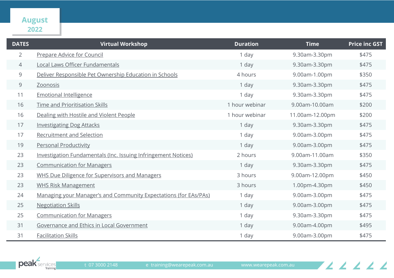#### **August**

| <b>DATES</b>   | <b>Virtual Workshop</b>                                          | <b>Duration</b> | <b>Time</b>     | <b>Price inc GST</b> |
|----------------|------------------------------------------------------------------|-----------------|-----------------|----------------------|
| $\overline{2}$ | Prepare Advice for Council                                       | 1 day           | 9.30am-3.30pm   | \$475                |
| 4              | Local Laws Officer Fundamentals                                  | 1 day           | 9.30am-3.30pm   | \$475                |
| 9              | Deliver Responsible Pet Ownership Education in Schools           | 4 hours         | 9.00am-1.00pm   | \$350                |
| 9              | Zoonosis                                                         | 1 day           | 9.30am-3.30pm   | \$475                |
| 11             | <b>Emotional Intelligence</b>                                    | 1 day           | 9.30am-3.30pm   | \$475                |
| 16             | Time and Prioritisation Skills                                   | 1 hour webinar  | 9.00am-10.00am  | \$200                |
| 16             | Dealing with Hostile and Violent People                          | 1 hour webinar  | 11.00am-12.00pm | \$200                |
| 17             | <b>Investigating Dog Attacks</b>                                 | 1 day           | 9.30am-3.30pm   | \$475                |
| 17             | <b>Recruitment and Selection</b>                                 | 1 day           | 9.00am-3.00pm   | \$475                |
| 19             | <b>Personal Productivity</b>                                     | 1 day           | 9.00am-3.00pm   | \$475                |
| 23             | Investigation Fundamentals (Inc. Issuing Infringement Notices)   | 2 hours         | 9.00am-11.00am  | \$350                |
| 23             | <b>Communication for Managers</b>                                | 1 day           | 9.30am-3.30pm   | \$475                |
| 23             | <b>WHS Due Diligence for Supervisors and Managers</b>            | 3 hours         | 9.00am-12.00pm  | \$450                |
| 23             | <b>WHS Risk Management</b>                                       | 3 hours         | 1.00pm-4.30pm   | \$450                |
| 24             | Managing your Manager's and Community Expectations (for EAs/PAs) | 1 day           | 9.00am-3.00pm   | \$475                |
| 25             | <b>Negotiation Skills</b>                                        | 1 day           | 9.00am-3.00pm   | \$475                |
| 25             | <b>Communication for Managers</b>                                | 1 day           | 9.30am-3.30pm   | \$475                |
| 31             | Governance and Ethics in Local Government                        | 1 day           | 9.00am-4.00pm   | \$495                |
| 31             | <b>Facilitation Skills</b>                                       | 1 day           | 9.00am-3.00pm   | \$475                |



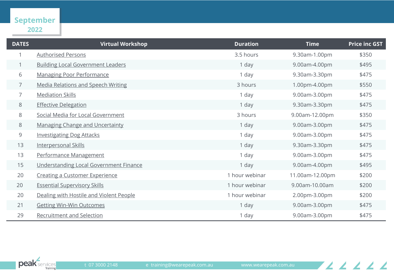#### **September**

| <b>DATES</b>   | <b>Virtual Workshop</b>                   | <b>Duration</b> | <b>Time</b>     | <b>Price inc GST</b> |
|----------------|-------------------------------------------|-----------------|-----------------|----------------------|
|                | <b>Authorised Persons</b>                 | 3.5 hours       | 9.30am-1.00pm   | \$350                |
|                | <b>Building Local Government Leaders</b>  | 1 day           | 9.00am-4.00pm   | \$495                |
| 6              | <b>Managing Poor Performance</b>          | 1 day           | 9.30am-3.30pm   | \$475                |
| $\overline{7}$ | <b>Media Relations and Speech Writing</b> | 3 hours         | 1.00pm-4.00pm   | \$550                |
| $\overline{7}$ | <b>Mediation Skills</b>                   | 1 day           | 9.00am-3.00pm   | \$475                |
| 8              | <b>Effective Delegation</b>               | 1 day           | 9.30am-3.30pm   | \$475                |
| 8              | Social Media for Local Government         | 3 hours         | 9.00am-12.00pm  | \$350                |
| 8              | <b>Managing Change and Uncertainty</b>    | 1 day           | 9.00am-3.00pm   | \$475                |
| 9              | <b>Investigating Dog Attacks</b>          | 1 day           | 9.00am-3.00pm   | \$475                |
| 13             | <b>Interpersonal Skills</b>               | 1 day           | 9.30am-3.30pm   | \$475                |
| 13             | Performance Management                    | 1 day           | 9.00am-3.00pm   | \$475                |
| 15             | Understanding Local Government Finance    | 1 day           | 9.00am-4.00pm   | \$495                |
| 20             | <b>Creating a Customer Experience</b>     | 1 hour webinar  | 11.00am-12.00pm | \$200                |
| 20             | <b>Essential Supervisory Skills</b>       | 1 hour webinar  | 9.00am-10.00am  | \$200                |
| 20             | Dealing with Hostile and Violent People   | 1 hour webinar  | 2.00pm-3.00pm   | \$200                |
| 21             | <b>Getting Win-Win Outcomes</b>           | 1 day           | 9.00am-3.00pm   | \$475                |
| 29             | <b>Recruitment and Selection</b>          | 1 day           | 9.00am-3.00pm   | \$475                |

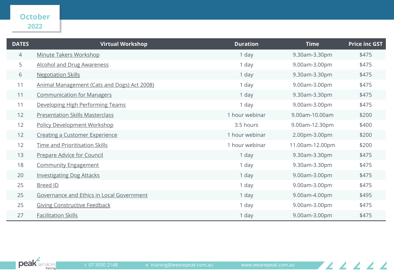### **October**

| <b>DATES</b> | <b>Virtual Workshop</b>                     | <b>Duration</b> | <b>Time</b>     | <b>Price inc GST</b> |
|--------------|---------------------------------------------|-----------------|-----------------|----------------------|
| 4            | <b>Minute Takers Workshop</b>               | 1 day           | 9.30am-3.30pm   | \$475                |
| 5            | <b>Alcohol and Drug Awareness</b>           | 1 day           | 9.00am-3.00pm   | \$475                |
| 6            | <b>Negotiation Skills</b>                   | 1 day           | 9.30am-3.30pm   | \$475                |
| 11           | Animal Management (Cats and Dogs) Act 2008) | 1 day           | 9.00am-3.00pm   | \$475                |
| 11           | <b>Communication for Managers</b>           | 1 day           | 9.30am-3.30pm   | \$475                |
| 11           | Developing High Performing Teams            | 1 day           | 9.00am-3.00pm   | \$475                |
| 12           | <b>Presentation Skills Masterclass</b>      | 1 hour webinar  | 9.00am-10.00am  | \$200                |
| 12           | <b>Policy Development Workshop</b>          | 3.5 hours       | 9.00am-12.30pm  | \$400                |
| 12           | <b>Creating a Customer Experience</b>       | 1 hour webinar  | 2.00pm-3.00pm   | \$200                |
| 12           | <b>Time and Prioritisation Skills</b>       | 1 hour webinar  | 11.00am-12.00pm | \$200                |
| 13           | Prepare Advice for Council                  | 1 day           | 9.30am-3.30pm   | \$475                |
| 18           | <b>Community Engagement</b>                 | 1 day           | 9.30am-3.30pm   | \$475                |
| 20           | <b>Investigating Dog Attacks</b>            | 1 day           | 9.00am-3.00pm   | \$475                |
| 25           | <b>Breed ID</b>                             | 1 day           | 9.00am-3.00pm   | \$475                |
| 25           | Governance and Ethics in Local Government   | 1 day           | 9.00am-4.00pm   | \$495                |
| 25           | <b>Giving Constructive Feedback</b>         | 1 day           | 9.00am-3.00pm   | \$475                |
| 27           | <b>Facilitation Skills</b>                  | 1 day           | 9.00am-3.00pm   | \$475                |

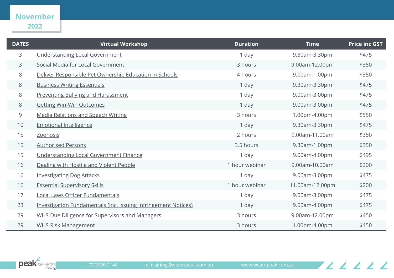#### **November**

| <b>DATES</b> | <b>Virtual Workshop</b>                                        | <b>Duration</b> | <b>Time</b>     | <b>Price inc GST</b> |
|--------------|----------------------------------------------------------------|-----------------|-----------------|----------------------|
| 3            | Understanding Local Government                                 | 1 day           | 9.30am-3.30pm   | \$475                |
| 3            | Social Media for Local Government                              | 3 hours         | 9.00am-12.00pm  | \$350                |
| 8            | Deliver Responsible Pet Ownership Education in Schools         | 4 hours         | 9.00am-1.00pm   | \$350                |
| 8            | <b>Business Writing Essentials</b>                             | 1 day           | 9.30am-3.30pm   | \$475                |
| 8            | <b>Preventing Bullying and Harassment</b>                      | 1 day           | 9.00am-3.00pm   | \$475                |
| 8            | <b>Getting Win-Win Outcomes</b>                                | 1 day           | 9.00am-3.00pm   | \$475                |
| 9            | <b>Media Relations and Speech Writing</b>                      | 3 hours         | 1.00pm-4.00pm   | \$550                |
| 10           | <b>Emotional Intelligence</b>                                  | 1 day           | 9.30am-3.30pm   | \$475                |
| 15           | <b>Zoonosis</b>                                                | 2 hours         | 9.00am-11.00am  | \$350                |
| 15           | <b>Authorised Persons</b>                                      | 3.5 hours       | 9.30am-1.00pm   | \$350                |
| 15           | Understanding Local Government Finance                         | 1 day           | 9.00am-4.00pm   | \$495                |
| 16           | Dealing with Hostile and Violent People                        | 1 hour webinar  | 9.00am-10.00am  | \$200                |
| 16           | <b>Investigating Dog Attacks</b>                               | 1 day           | 9.00am-3.00pm   | \$475                |
| 16           | <b>Essential Supervisory Skills</b>                            | 1 hour webinar  | 11.00am-12.00pm | \$200                |
| 17           | Local Laws Officer Fundamentals                                | 1 day           | 9.00am-3.00pm   | \$475                |
| 23           | Investigation Fundamentals (Inc. Issuing Infringement Notices) | 1 day           | 9.00am-4.00pm   | \$475                |
| 29           | WHS Due Diligence for Supervisors and Managers                 | 3 hours         | 9.00am-12.00pm  | \$450                |
| 29           | <b>WHS Risk Management</b>                                     | 3 hours         | 1.00pm-4.00pm   | \$450                |